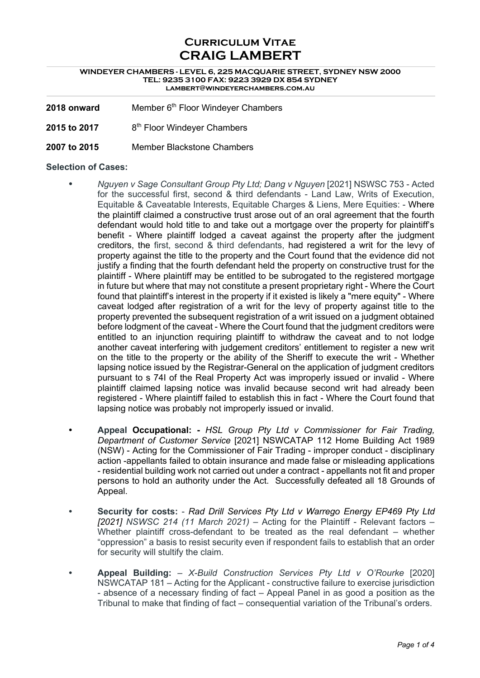# **Curriculum Vitae CRAIG LAMBERT**

#### **WINDEYER CHAMBERS - LEVEL 6, 225 MACQUARIE STREET, SYDNEY NSW 2000 TEL: 9235 3100 FAX: 9223 3929 DX 854 SYDNEY lambert@windeyerchambers.com.au**

- **2018 onward** Member 6<sup>th</sup> Floor Windeyer Chambers
- **2015 to 2017** 8th Floor Windeyer Chambers
- **2007 to 2015** Member Blackstone Chambers

#### **Selection of Cases:**

- **•** *Nguyen v Sage Consultant Group Pty Ltd; Dang v Nguyen* [2021] NSWSC 753 Acted for the successful first, second & third defendants - Land Law, Writs of Execution, Equitable & Caveatable Interests, Equitable Charges & Liens, Mere Equities: - Where the plaintiff claimed a constructive trust arose out of an oral agreement that the fourth defendant would hold title to and take out a mortgage over the property for plaintiff's benefit - Where plaintiff lodged a caveat against the property after the judgment creditors, the first, second & third defendants, had registered a writ for the levy of property against the title to the property and the Court found that the evidence did not justify a finding that the fourth defendant held the property on constructive trust for the plaintiff - Where plaintiff may be entitled to be subrogated to the registered mortgage in future but where that may not constitute a present proprietary right - Where the Court found that plaintiff's interest in the property if it existed is likely a "mere equity" - Where caveat lodged after registration of a writ for the levy of property against title to the property prevented the subsequent registration of a writ issued on a judgment obtained before lodgment of the caveat - Where the Court found that the judgment creditors were entitled to an injunction requiring plaintiff to withdraw the caveat and to not lodge another caveat interfering with judgement creditors' entitlement to register a new writ on the title to the property or the ability of the Sheriff to execute the writ - Whether lapsing notice issued by the Registrar-General on the application of judgment creditors pursuant to s 74I of the Real Property Act was improperly issued or invalid - Where plaintiff claimed lapsing notice was invalid because second writ had already been registered - Where plaintiff failed to establish this in fact - Where the Court found that lapsing notice was probably not improperly issued or invalid.
- **• Appeal Occupational: -** *HSL Group Pty Ltd v Commissioner for Fair Trading, Department of Customer Service* [2021] NSWCATAP 112 Home Building Act 1989 (NSW) - Acting for the Commissioner of Fair Trading - improper conduct - disciplinary action -appellants failed to obtain insurance and made false or misleading applications - residential building work not carried out under a contract - appellants not fit and proper persons to hold an authority under the Act. Successfully defeated all 18 Grounds of Appeal.
- **• Security for costs:** *Rad Drill Services Pty Ltd v Warrego Energy EP469 Pty Ltd [2021] NSWSC 214 (11 March 2021)* – Acting for the Plaintiff - Relevant factors – Whether plaintiff cross-defendant to be treated as the real defendant – whether "oppression" a basis to resist security even if respondent fails to establish that an order for security will stultify the claim.
- **• Appeal Building:** *X-Build Construction Services Pty Ltd v O'Rourke* [2020] NSWCATAP 181 – Acting for the Applicant - constructive failure to exercise jurisdiction - absence of a necessary finding of fact – Appeal Panel in as good a position as the Tribunal to make that finding of fact – consequential variation of the Tribunal's orders.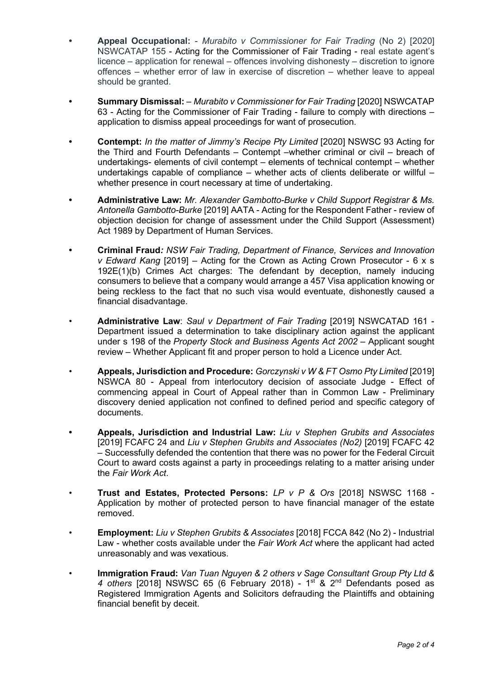- **• Appeal Occupational:** *Murabito v Commissioner for Fair Trading* (No 2) [2020] NSWCATAP 155 - Acting for the Commissioner of Fair Trading - real estate agent's licence – application for renewal – offences involving dishonesty – discretion to ignore offences – whether error of law in exercise of discretion – whether leave to appeal should be granted.
- **• Summary Dismissal:** *Murabito v Commissioner for Fair Trading* [2020] NSWCATAP 63 - Acting for the Commissioner of Fair Trading - failure to comply with directions – application to dismiss appeal proceedings for want of prosecution.
- **• Contempt:** *In the matter of Jimmy's Recipe Pty Limited* [2020] NSWSC 93 Acting for the Third and Fourth Defendants – Contempt –whether criminal or civil – breach of undertakings- elements of civil contempt – elements of technical contempt – whether undertakings capable of compliance  $-$  whether acts of clients deliberate or willful  $$ whether presence in court necessary at time of undertaking.
- **• Administrative Law:** *Mr. Alexander Gambotto-Burke v Child Support Registrar & Ms. Antonella Gambotto-Burke* [2019] AATA - Acting for the Respondent Father - review of objection decision for change of assessment under the Child Support (Assessment) Act 1989 by Department of Human Services.
- **• Criminal Fraud***: NSW Fair Trading, Department of Finance, Services and Innovation v Edward Kang* [2019] – Acting for the Crown as Acting Crown Prosecutor - 6 x s 192E(1)(b) Crimes Act charges: The defendant by deception, namely inducing consumers to believe that a company would arrange a 457 Visa application knowing or being reckless to the fact that no such visa would eventuate, dishonestly caused a financial disadvantage.
- **Administrative Law**: *Saul v Department of Fair Trading* [2019] NSWCATAD 161 Department issued a determination to take disciplinary action against the applicant under s 198 of the *Property Stock and Business Agents Act 2002* – Applicant sought review – Whether Applicant fit and proper person to hold a Licence under Act.
- **Appeals, Jurisdiction and Procedure:** *Gorczynski v W & FT Osmo Pty Limited* [2019] NSWCA 80 - Appeal from interlocutory decision of associate Judge - Effect of commencing appeal in Court of Appeal rather than in Common Law - Preliminary discovery denied application not confined to defined period and specific category of documents.
- **• Appeals, Jurisdiction and Industrial Law:** *Liu v Stephen Grubits and Associates* [2019] FCAFC 24 and *Liu v Stephen Grubits and Associates (No2)* [2019] FCAFC 42 – Successfully defended the contention that there was no power for the Federal Circuit Court to award costs against a party in proceedings relating to a matter arising under the *Fair Work Act*.
- **Trust and Estates, Protected Persons:** *LP v P & Ors* [2018] NSWSC 1168 Application by mother of protected person to have financial manager of the estate removed.
- **Employment:** *Liu v Stephen Grubits & Associates* [2018] FCCA 842 (No 2) Industrial Law - whether costs available under the *Fair Work Act* where the applicant had acted unreasonably and was vexatious.
- **Immigration Fraud:** *Van Tuan Nguyen & 2 others v Sage Consultant Group Pty Ltd &*  4 others [2018] NSWSC 65 (6 February 2018) - 1<sup>st</sup> & 2<sup>nd</sup> Defendants posed as Registered Immigration Agents and Solicitors defrauding the Plaintiffs and obtaining financial benefit by deceit.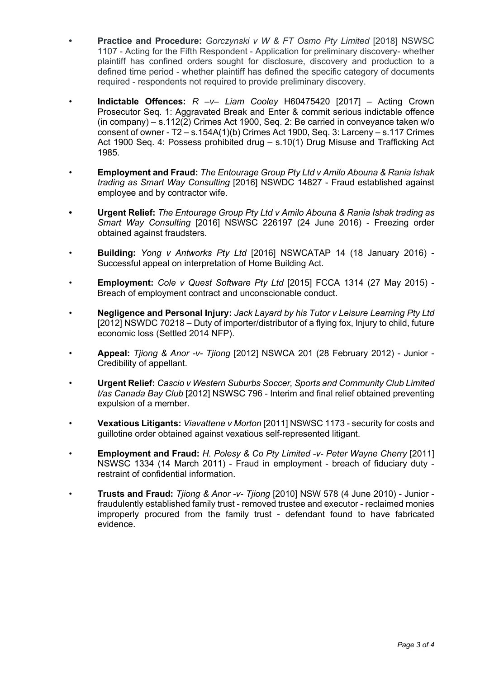- **• Practice and Procedure:** *Gorczynski v W & FT Osmo Pty Limited* [2018] NSWSC 1107 - Acting for the Fifth Respondent - Application for preliminary discovery- whether plaintiff has confined orders sought for disclosure, discovery and production to a defined time period - whether plaintiff has defined the specific category of documents required - respondents not required to provide preliminary discovery.
- **Indictable Offences:** *R –v– Liam Cooley* H60475420 [2017] Acting Crown Prosecutor Seq. 1: Aggravated Break and Enter & commit serious indictable offence (in company) – s.112(2) Crimes Act 1900, Seq. 2: Be carried in conveyance taken w/o consent of owner -  $T2 - s.154A(1)(b)$  Crimes Act 1900, Seq. 3: Larceny  $- s.117$  Crimes Act 1900 Seq. 4: Possess prohibited drug – s.10(1) Drug Misuse and Trafficking Act 1985.
- **Employment and Fraud:** *The Entourage Group Pty Ltd v Amilo Abouna & Rania Ishak trading as Smart Way Consulting* [2016] NSWDC 14827 - Fraud established against employee and by contractor wife.
- **• Urgent Relief:** *The Entourage Group Pty Ltd v Amilo Abouna & Rania Ishak trading as Smart Way Consulting* [2016] NSWSC 226197 (24 June 2016) - Freezing order obtained against fraudsters.
- **Building:** *Yong v Antworks Pty Ltd* [2016] NSWCATAP 14 (18 January 2016) Successful appeal on interpretation of Home Building Act.
- **Employment:** *Cole v Quest Software Pty Ltd* [2015] FCCA 1314 (27 May 2015) Breach of employment contract and unconscionable conduct.
- **Negligence and Personal Injury:** *Jack Layard by his Tutor v Leisure Learning Pty Ltd*  [2012] NSWDC 70218 – Duty of importer/distributor of a flying fox, Injury to child, future economic loss (Settled 2014 NFP).
- **Appeal:** *Tjiong & Anor -v- Tjiong* [2012] NSWCA 201 (28 February 2012) Junior Credibility of appellant.
- **Urgent Relief:** *Cascio v Western Suburbs Soccer, Sports and Community Club Limited t/as Canada Bay Club* [2012] NSWSC 796 - Interim and final relief obtained preventing expulsion of a member.
- **Vexatious Litigants:** *Viavattene v Morton* [2011] NSWSC 1173 security for costs and guillotine order obtained against vexatious self-represented litigant.
- **Employment and Fraud:** *H. Polesy & Co Pty Limited -v- Peter Wayne Cherry* [2011] NSWSC 1334 (14 March 2011) - Fraud in employment - breach of fiduciary duty restraint of confidential information.
- **Trusts and Fraud:** *Tjiong & Anor -v- Tjiong* [2010] NSW 578 (4 June 2010) Junior fraudulently established family trust - removed trustee and executor - reclaimed monies improperly procured from the family trust - defendant found to have fabricated evidence.